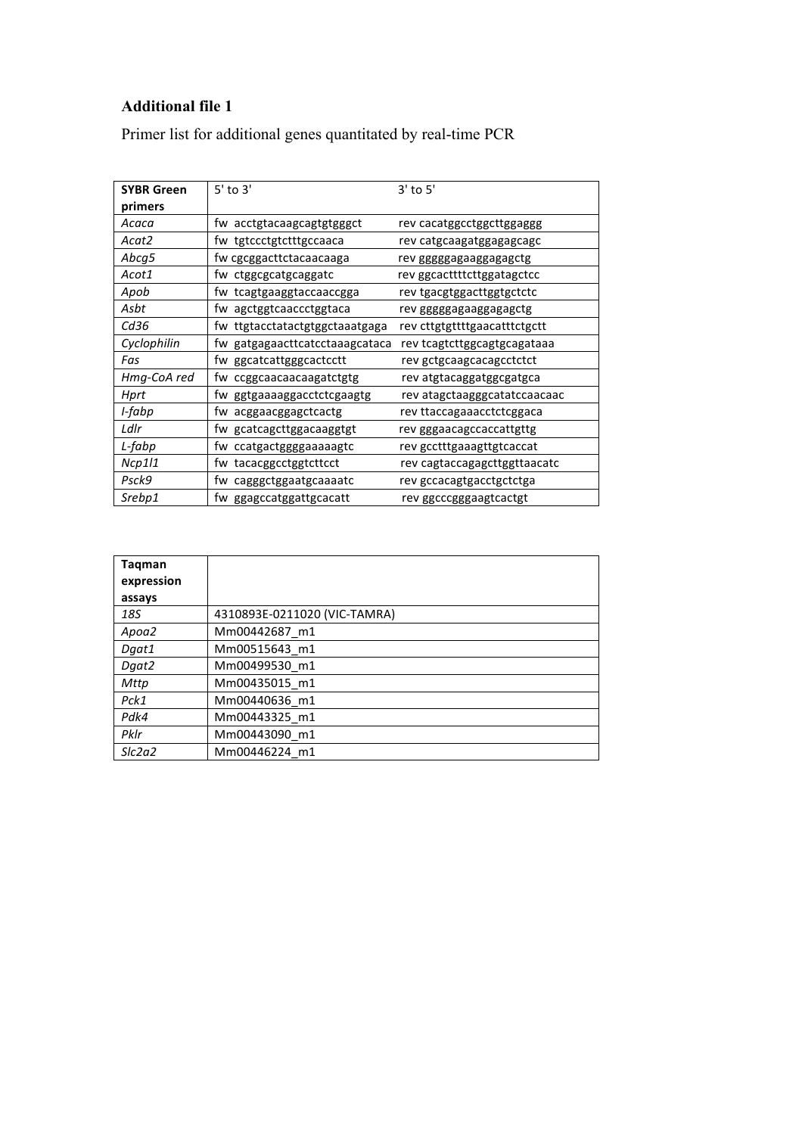## **Additional file 1**

Primer list for additional genes quantitated by real-time PCR

| <b>SYBR Green</b> | $5'$ to $3'$                   | $3'$ to $5'$                 |
|-------------------|--------------------------------|------------------------------|
| primers           |                                |                              |
| Асаса             | fw acctgtacaagcagtgtgggct      | rev cacatggcctggcttggaggg    |
| Acat2             | tw tgtccctgtctttgccaaca        | rev catgcaagatggagagcagc     |
| Abcg5             | tw cgcggacttctacaacaaga        | rev gggggagaaggagagctg       |
| Acot1             | tw ctggcgcatgcaggatc           | rev ggcacttttcttggatagctcc   |
| Apob              | tw tcagtgaaggtaccaaccgga       | rev tgacgtggacttggtgctctc    |
| Asbt              | tw agctggtcaaccctggtaca        | rev gggggagaaggagagctg       |
| Cd36              | tw ttgtacctatactgtggctaaatgaga | rev cttgtgttttgaacatttctgctt |
| Cyclophilin       | tw gatgagaacttcatcctaaagcataca | rev tcagtcttggcagtgcagataaa  |
| Fas               | tw ggcatcattgggcactcctt        | rev gctgcaagcacagcctctct     |
| Hmg-CoA red       | tw ccggcaacaacaagatctgtg       | rev atgtacaggatggcgatgca     |
| Hprt              | tw ggtgaaaaggacctctcgaagtg     | rev atagctaagggcatatccaacaac |
| I-fabp            | fw acggaacggagctcactg          | rev ttaccagaaacctctcggaca    |
| LdIr              | tw gcatcagcttggacaaggtgt       | rev gggaacagccaccattgttg     |
| L-fabp            | fw ccatgactggggaaaaagtc        | rev gcctttgaaagttgtcaccat    |
| Ncp1/1            | tw tacacggcctggtcttcct         | rev cagtaccagagcttggttaacatc |
| Psck9             | fw cagggctggaatgcaaaatc        | rev gccacagtgacctgctctga     |
| Srebp1            | fw ggagccatggattgcacatt        | rev ggcccgggaagtcactgt       |

| <b>Tagman</b><br>expression |                              |
|-----------------------------|------------------------------|
| assays                      |                              |
| 18S                         | 4310893E-0211020 (VIC-TAMRA) |
| Apoa2                       | Mm00442687 m1                |
| Dgat1                       | Mm00515643 m1                |
| Dgat2                       | Mm00499530_m1                |
| Mttp                        | Mm00435015 m1                |
| Pck1                        | Mm00440636 m1                |
| Pdk4                        | Mm00443325 m1                |
| Pklr                        | Mm00443090 m1                |
| Slc2a2                      | Mm00446224 m1                |